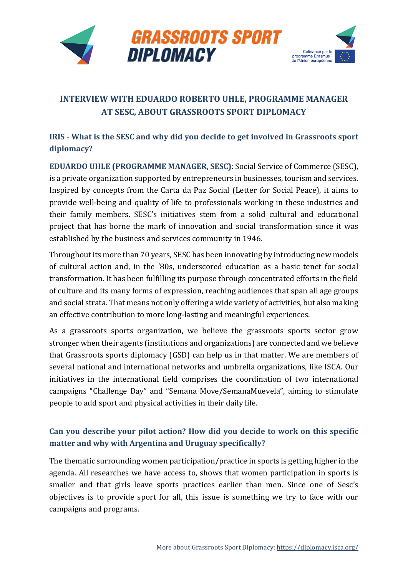

# **INTERVIEW WITH EDUARDO ROBERTO UHLE, PROGRAMME MANAGER AT SESC, ABOUT GRASSROOTS SPORT DIPLOMACY**

# **IRIS - What is the SESC and why did you decide to get involved in Grassroots sport diplomacy?**

**EDUARDO UHLE (PROGRAMME MANAGER, SESC)**: Social Service of Commerce (SESC), is a private organization supported by entrepreneurs in businesses, tourism and services. Inspired by concepts from the Carta da Paz Social (Letter for Social Peace), it aims to provide well-being and quality of life to professionals working in these industries and their family members. SESC's initiatives stem from a solid cultural and educational project that has borne the mark of innovation and social transformation since it was established by the business and services community in 1946.

Throughout its more than 70 years, SESC has been innovating by introducing new models of cultural action and, in the '80s, underscored education as a basic tenet for social transformation. It has been fulfilling its purpose through concentrated efforts in the field of culture and its many forms of expression, reaching audiences that span all age groups and social strata. That means not only offering a wide variety of activities, but also making an effective contribution to more long-lasting and meaningful experiences.

As a grassroots sports organization, we believe the grassroots sports sector grow stronger when their agents (institutions and organizations) are connected and we believe that Grassroots sports diplomacy (GSD) can help us in that matter. We are members of several national and international networks and umbrella organizations, like ISCA. Our initiatives in the international field comprises the coordination of two international campaigns "Challenge Day" and "Semana Move/SemanaMuevela", aiming to stimulate people to add sport and physical activities in their daily life.

# **Can you describe your pilot action? How did you decide to work on this specific matter and why with Argentina and Uruguay specifically?**

The thematic surrounding women participation/practice in sports is getting higher in the agenda. All researches we have access to, shows that women participation in sports is smaller and that girls leave sports practices earlier than men. Since one of Sesc's objectives is to provide sport for all, this issue is something we try to face with our campaigns and programs.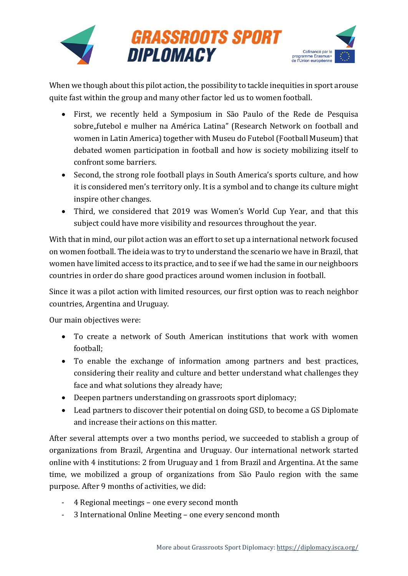

When we though about this pilot action, the possibility to tackle inequities in sport arouse quite fast within the group and many other factor led us to women football.

- First, we recently held a Symposium in São Paulo of the Rede de Pesquisa sobre"futebol e mulher na América Latina" (Research Network on football and women in Latin America) together with Museu do Futebol (Football Museum) that debated women participation in football and how is society mobilizing itself to confront some barriers.
- Second, the strong role football plays in South America's sports culture, and how it is considered men's territory only. It is a symbol and to change its culture might inspire other changes.
- Third, we considered that 2019 was Women's World Cup Year, and that this subject could have more visibility and resources throughout the year.

With that in mind, our pilot action was an effort to set up a international network focused on women football. The ideia was to try to understand the scenario we have in Brazil, that women have limited access to its practice, and to see if we had the same in our neighboors countries in order do share good practices around women inclusion in football.

Since it was a pilot action with limited resources, our first option was to reach neighbor countries, Argentina and Uruguay.

Our main objectives were:

- To create a network of South American institutions that work with women football;
- To enable the exchange of information among partners and best practices, considering their reality and culture and better understand what challenges they face and what solutions they already have;
- Deepen partners understanding on grassroots sport diplomacy;
- Lead partners to discover their potential on doing GSD, to become a GS Diplomate and increase their actions on this matter.

After several attempts over a two months period, we succeeded to stablish a group of organizations from Brazil, Argentina and Uruguay. Our international network started online with 4 institutions: 2 from Uruguay and 1 from Brazil and Argentina. At the same time, we mobilized a group of organizations from São Paulo region with the same purpose. After 9 months of activities, we did:

- 4 Regional meetings one every second month
- 3 International Online Meeting one every sencond month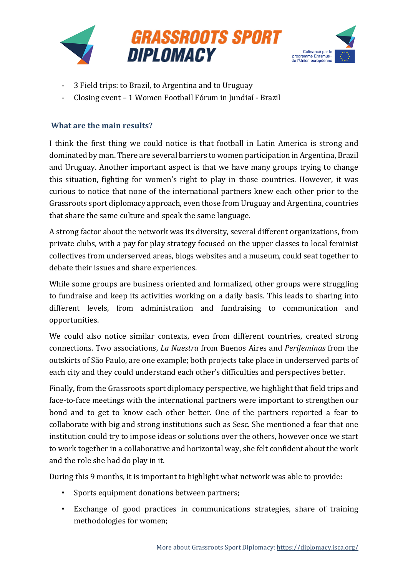



- 3 Field trips: to Brazil, to Argentina and to Uruguay
- Closing event 1 Women Football Fórum in Jundiaí Brazil

#### **What are the main results?**

I think the first thing we could notice is that football in Latin America is strong and dominated by man. There are several barriers to women participation in Argentina, Brazil and Uruguay. Another important aspect is that we have many groups trying to change this situation, fighting for women's right to play in those countries. However, it was curious to notice that none of the international partners knew each other prior to the Grassroots sport diplomacy approach, even those from Uruguay and Argentina, countries that share the same culture and speak the same language.

A strong factor about the network was its diversity, several different organizations, from private clubs, with a pay for play strategy focused on the upper classes to local feminist collectives from underserved areas, blogs websites and a museum, could seat together to debate their issues and share experiences.

While some groups are business oriented and formalized, other groups were struggling to fundraise and keep its activities working on a daily basis. This leads to sharing into different levels, from administration and fundraising to communication and opportunities.

We could also notice similar contexts, even from different countries, created strong connections. Two associations, *La Nuestra* from Buenos Aires and *Perifeminas* from the outskirts of São Paulo, are one example; both projects take place in underserved parts of each city and they could understand each other's difficulties and perspectives better.

Finally, from the Grassroots sport diplomacy perspective, we highlight that field trips and face-to-face meetings with the international partners were important to strengthen our bond and to get to know each other better. One of the partners reported a fear to collaborate with big and strong institutions such as Sesc. She mentioned a fear that one institution could try to impose ideas or solutions over the others, however once we start to work together in a collaborative and horizontal way, she felt confident about the work and the role she had do play in it.

During this 9 months, it is important to highlight what network was able to provide:

- Sports equipment donations between partners;
- Exchange of good practices in communications strategies, share of training methodologies for women;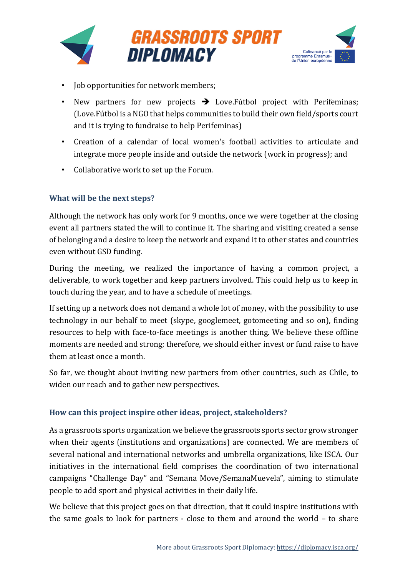



- Job opportunities for network members;
- New partners for new projects  $\rightarrow$  Love. Fútbol project with Perifeminas; (Love.Fútbol is a NGO that helps communities to build their own field/sports court and it is trying to fundraise to help Perifeminas)
- Creation of a calendar of local women's football activities to articulate and integrate more people inside and outside the network (work in progress); and
- Collaborative work to set up the Forum.

### **What will be the next steps?**

Although the network has only work for 9 months, once we were together at the closing event all partners stated the will to continue it. The sharing and visiting created a sense of belonging and a desire to keep the network and expand it to other states and countries even without GSD funding.

During the meeting, we realized the importance of having a common project, a deliverable, to work together and keep partners involved. This could help us to keep in touch during the year, and to have a schedule of meetings.

If setting up a network does not demand a whole lot of money, with the possibility to use technology in our behalf to meet (skype, googlemeet, gotomeeting and so on), finding resources to help with face-to-face meetings is another thing. We believe these offline moments are needed and strong; therefore, we should either invest or fund raise to have them at least once a month.

So far, we thought about inviting new partners from other countries, such as Chile, to widen our reach and to gather new perspectives.

### **How can this project inspire other ideas, project, stakeholders?**

As a grassroots sports organization we believe the grassroots sports sector grow stronger when their agents (institutions and organizations) are connected. We are members of several national and international networks and umbrella organizations, like ISCA. Our initiatives in the international field comprises the coordination of two international campaigns "Challenge Day" and "Semana Move/SemanaMuevela", aiming to stimulate people to add sport and physical activities in their daily life.

We believe that this project goes on that direction, that it could inspire institutions with the same goals to look for partners - close to them and around the world – to share